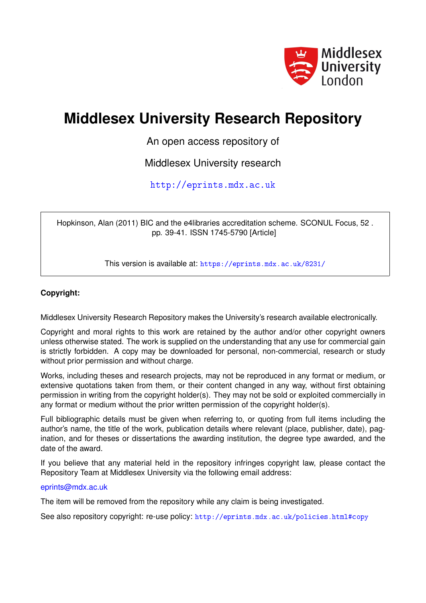

## **Middlesex University Research Repository**

An open access repository of

Middlesex University research

<http://eprints.mdx.ac.uk>

Hopkinson, Alan (2011) BIC and the e4libraries accreditation scheme. SCONUL Focus, 52 . pp. 39-41. ISSN 1745-5790 [Article]

This version is available at: <https://eprints.mdx.ac.uk/8231/>

## **Copyright:**

Middlesex University Research Repository makes the University's research available electronically.

Copyright and moral rights to this work are retained by the author and/or other copyright owners unless otherwise stated. The work is supplied on the understanding that any use for commercial gain is strictly forbidden. A copy may be downloaded for personal, non-commercial, research or study without prior permission and without charge.

Works, including theses and research projects, may not be reproduced in any format or medium, or extensive quotations taken from them, or their content changed in any way, without first obtaining permission in writing from the copyright holder(s). They may not be sold or exploited commercially in any format or medium without the prior written permission of the copyright holder(s).

Full bibliographic details must be given when referring to, or quoting from full items including the author's name, the title of the work, publication details where relevant (place, publisher, date), pagination, and for theses or dissertations the awarding institution, the degree type awarded, and the date of the award.

If you believe that any material held in the repository infringes copyright law, please contact the Repository Team at Middlesex University via the following email address:

### [eprints@mdx.ac.uk](mailto:eprints@mdx.ac.uk)

The item will be removed from the repository while any claim is being investigated.

See also repository copyright: re-use policy: <http://eprints.mdx.ac.uk/policies.html#copy>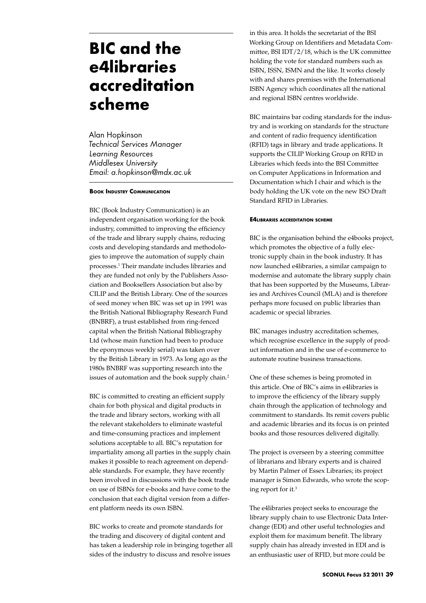# **BIC and the e4libraries accreditation scheme**

Alan Hopkinson *Technical Services Manager Learning Resources Middlesex University Email: a.hopkinson@mdx.ac.uk*

### **Book Industry Communication**

BIC (Book Industry Communication) is an independent organisation working for the book industry, committed to improving the efficiency of the trade and library supply chains, reducing costs and developing standards and methodologies to improve the automation of supply chain processes.1 Their mandate includes libraries and they are funded not only by the Publishers Association and Booksellers Association but also by CILIP and the British Library. One of the sources of seed money when BIC was set up in 1991 was the British National Bibliography Research Fund (BNBRF), a trust established from ring-fenced capital when the British National Bibliography Ltd (whose main function had been to produce the eponymous weekly serial) was taken over by the British Library in 1973. As long ago as the 1980s BNBRF was supporting research into the issues of automation and the book supply chain.<sup>2</sup>

BIC is committed to creating an efficient supply chain for both physical and digital products in the trade and library sectors, working with all the relevant stakeholders to eliminate wasteful and time-consuming practices and implement solutions acceptable to all. BIC's reputation for impartiality among all parties in the supply chain makes it possible to reach agreement on dependable standards. For example, they have recently been involved in discussions with the book trade on use of ISBNs for e-books and have come to the conclusion that each digital version from a different platform needs its own ISBN.

BIC works to create and promote standards for the trading and discovery of digital content and has taken a leadership role in bringing together all sides of the industry to discuss and resolve issues

in this area. It holds the secretariat of the BSI Working Group on Identifiers and Metadata Committee, BSI IDT/2/18, which is the UK committee holding the vote for standard numbers such as ISBN, ISSN, ISMN and the like. It works closely with and shares premises with the International ISBN Agency which coordinates all the national and regional ISBN centres worldwide.

BIC maintains bar coding standards for the industry and is working on standards for the structure and content of radio frequency identification (RFID) tags in library and trade applications. It supports the CILIP Working Group on RFID in Libraries which feeds into the BSI Committee on Computer Applications in Information and Documentation which I chair and which is the body holding the UK vote on the new ISO Draft Standard RFID in Libraries.

#### **E4libraries accreditation scheme**

BIC is the organisation behind the e4books project, which promotes the objective of a fully electronic supply chain in the book industry. It has now launched e4libraries, a similar campaign to modernise and automate the library supply chain that has been supported by the Museums, Libraries and Archives Council (MLA) and is therefore perhaps more focused on public libraries than academic or special libraries.

BIC manages industry accreditation schemes, which recognise excellence in the supply of product information and in the use of e-commerce to automate routine business transactions.

One of these schemes is being promoted in this article. One of BIC's aims in e4libraries is to improve the efficiency of the library supply chain through the application of technology and commitment to standards. Its remit covers public and academic libraries and its focus is on printed books and those resources delivered digitally.

The project is overseen by a steering committee of librarians and library experts and is chaired by Martin Palmer of Essex Libraries; its project manager is Simon Edwards, who wrote the scoping report for it.3

The e4libraries project seeks to encourage the library supply chain to use Electronic Data Interchange (EDI) and other useful technologies and exploit them for maximum benefit. The library supply chain has already invested in EDI and is an enthusiastic user of RFID, but more could be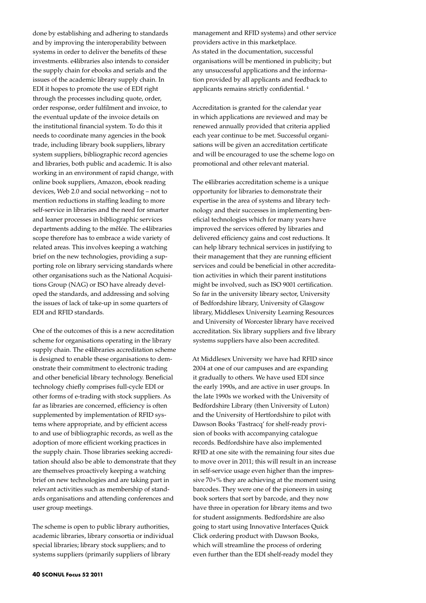done by establishing and adhering to standards and by improving the interoperability between systems in order to deliver the benefits of these investments. e4libraries also intends to consider the supply chain for ebooks and serials and the issues of the academic library supply chain. In EDI it hopes to promote the use of EDI right through the processes including quote, order, order response, order fulfilment and invoice, to the eventual update of the invoice details on the institutional financial system. To do this it needs to coordinate many agencies in the book trade, including library book suppliers, library system suppliers, bibliographic record agencies and libraries, both public and academic. It is also working in an environment of rapid change, with online book suppliers, Amazon, ebook reading devices, Web 2.0 and social networking – not to mention reductions in staffing leading to more self-service in libraries and the need for smarter and leaner processes in bibliographic services departments adding to the mêlée. The e4libraries scope therefore has to embrace a wide variety of related areas. This involves keeping a watching brief on the new technologies, providing a supporting role on library servicing standards where other organisations such as the National Acquisitions Group (NAG) or ISO have already developed the standards, and addressing and solving the issues of lack of take-up in some quarters of EDI and RFID standards.

One of the outcomes of this is a new accreditation scheme for organisations operating in the library supply chain. The e4libraries accreditation scheme is designed to enable these organisations to demonstrate their commitment to electronic trading and other beneficial library technology. Beneficial technology chiefly comprises full-cycle EDI or other forms of e-trading with stock suppliers. As far as libraries are concerned, efficiency is often supplemented by implementation of RFID systems where appropriate, and by efficient access to and use of bibliographic records, as well as the adoption of more efficient working practices in the supply chain. Those libraries seeking accreditation should also be able to demonstrate that they are themselves proactively keeping a watching brief on new technologies and are taking part in relevant activities such as membership of standards organisations and attending conferences and user group meetings.

The scheme is open to public library authorities, academic libraries, library consortia or individual special libraries; library stock suppliers; and to systems suppliers (primarily suppliers of library

management and RFID systems) and other service providers active in this marketplace. As stated in the documentation, successful organisations will be mentioned in publicity; but any unsuccessful applications and the information provided by all applicants and feedback to applicants remains strictly confidential. 4

Accreditation is granted for the calendar year in which applications are reviewed and may be renewed annually provided that criteria applied each year continue to be met. Successful organisations will be given an accreditation certificate and will be encouraged to use the scheme logo on promotional and other relevant material.

The e4libraries accreditation scheme is a unique opportunity for libraries to demonstrate their expertise in the area of systems and library technology and their successes in implementing beneficial technologies which for many years have improved the services offered by libraries and delivered efficiency gains and cost reductions. It can help library technical services in justifying to their management that they are running efficient services and could be beneficial in other accreditation activities in which their parent institutions might be involved, such as ISO 9001 certification. So far in the university library sector, University of Bedfordshire library, University of Glasgow library, Middlesex University Learning Resources and University of Worcester library have received accreditation. Six library suppliers and five library systems suppliers have also been accredited.

At Middlesex University we have had RFID since 2004 at one of our campuses and are expanding it gradually to others. We have used EDI since the early 1990s, and are active in user groups. In the late 1990s we worked with the University of Bedfordshire Library (then University of Luton) and the University of Hertfordshire to pilot with Dawson Books 'Fastracq' for shelf-ready provision of books with accompanying catalogue records. Bedfordshire have also implemented RFID at one site with the remaining four sites due to move over in 2011; this will result in an increase in self-service usage even higher than the impressive 70+% they are achieving at the moment using barcodes. They were one of the pioneers in using book sorters that sort by barcode, and they now have three in operation for library items and two for student assignments. Bedfordshire are also going to start using Innovative Interfaces Quick Click ordering product with Dawson Books, which will streamline the process of ordering even further than the EDI shelf-ready model they